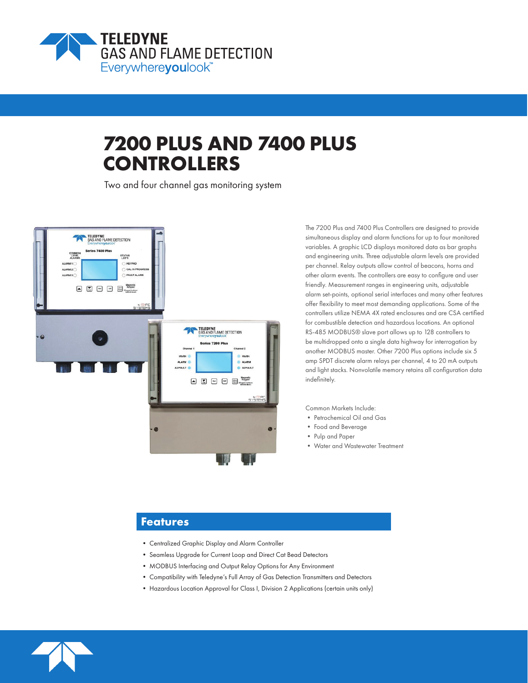

# **7200 PLUS AND 7400 PLUS CONTROLLERS**

Two and four channel gas monitoring system



The 7200 Plus and 7400 Plus Controllers are designed to provide simultaneous display and alarm functions for up to four monitored variables. A graphic LCD displays monitored data as bar graphs and engineering units. Three adjustable alarm levels are provided per channel. Relay outputs allow control of beacons, horns and other alarm events. The controllers are easy to configure and user friendly. Measurement ranges in engineering units, adjustable alarm set-points, optional serial interfaces and many other features offer flexibility to meet most demanding applications. Some of the controllers utilize NEMA 4X rated enclosures and are CSA certified for combustible detection and hazardous locations. An optional RS-485 MODBUS® slave port allows up to 128 controllers to be multidropped onto a single data highway for interrogation by another MODBUS master. Other 7200 Plus options include six 5 amp SPDT discrete alarm relays per channel, 4 to 20 mA outputs and light stacks. Nonvolatile memory retains all configuration data indefinitely.

Common Markets Include:

- Petrochemical Oil and Gas
- Food and Beverage
- Pulp and Paper
- Water and Wastewater Treatment

# **Features**

- Centralized Graphic Display and Alarm Controller
- Seamless Upgrade for Current Loop and Direct Cat Bead Detectors
- MODBUS Interfacing and Output Relay Options for Any Environment
- Compatibility with Teledyne's Full Array of Gas Detection Transmitters and Detectors
- Hazardous Location Approval for Class I, Division 2 Applications (certain units only)